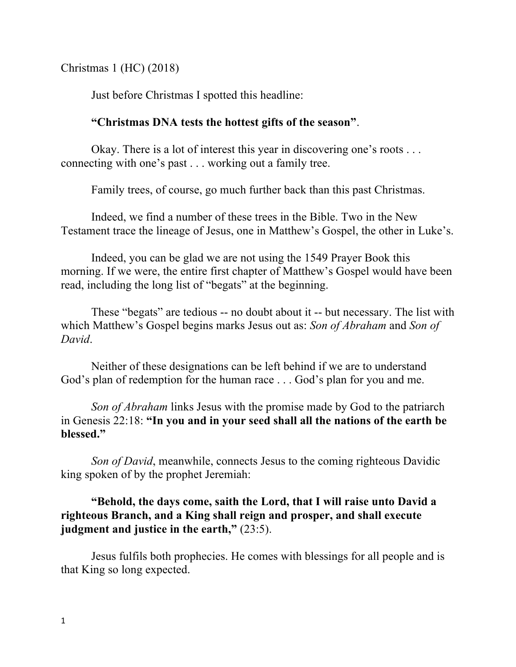Christmas 1 (HC) (2018)

Just before Christmas I spotted this headline:

## **"Christmas DNA tests the hottest gifts of the season"**.

Okay. There is a lot of interest this year in discovering one's roots . . . connecting with one's past . . . working out a family tree.

Family trees, of course, go much further back than this past Christmas.

Indeed, we find a number of these trees in the Bible. Two in the New Testament trace the lineage of Jesus, one in Matthew's Gospel, the other in Luke's.

Indeed, you can be glad we are not using the 1549 Prayer Book this morning. If we were, the entire first chapter of Matthew's Gospel would have been read, including the long list of "begats" at the beginning.

These "begats" are tedious -- no doubt about it -- but necessary. The list with which Matthew's Gospel begins marks Jesus out as: *Son of Abraham* and *Son of David*.

Neither of these designations can be left behind if we are to understand God's plan of redemption for the human race . . . God's plan for you and me.

*Son of Abraham* links Jesus with the promise made by God to the patriarch in Genesis 22:18: **"In you and in your seed shall all the nations of the earth be blessed."**

*Son of David*, meanwhile, connects Jesus to the coming righteous Davidic king spoken of by the prophet Jeremiah:

## **"Behold, the days come, saith the Lord, that I will raise unto David a righteous Branch, and a King shall reign and prosper, and shall execute judgment and justice in the earth,"** (23:5).

Jesus fulfils both prophecies. He comes with blessings for all people and is that King so long expected.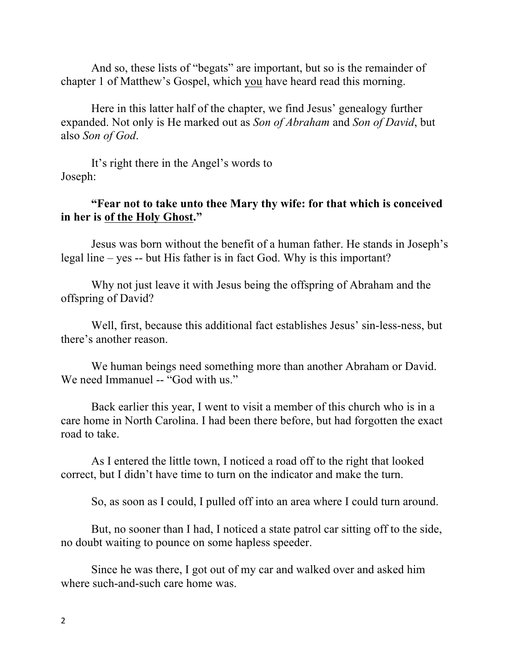And so, these lists of "begats" are important, but so is the remainder of chapter 1 of Matthew's Gospel, which you have heard read this morning.

Here in this latter half of the chapter, we find Jesus' genealogy further expanded. Not only is He marked out as *Son of Abraham* and *Son of David*, but also *Son of God*.

It's right there in the Angel's words to Joseph:

## **"Fear not to take unto thee Mary thy wife: for that which is conceived in her is of the Holy Ghost."**

Jesus was born without the benefit of a human father. He stands in Joseph's legal line – yes -- but His father is in fact God. Why is this important?

Why not just leave it with Jesus being the offspring of Abraham and the offspring of David?

Well, first, because this additional fact establishes Jesus' sin-less-ness, but there's another reason.

We human beings need something more than another Abraham or David. We need Immanuel -- "God with us."

Back earlier this year, I went to visit a member of this church who is in a care home in North Carolina. I had been there before, but had forgotten the exact road to take.

As I entered the little town, I noticed a road off to the right that looked correct, but I didn't have time to turn on the indicator and make the turn.

So, as soon as I could, I pulled off into an area where I could turn around.

But, no sooner than I had, I noticed a state patrol car sitting off to the side, no doubt waiting to pounce on some hapless speeder.

Since he was there, I got out of my car and walked over and asked him where such-and-such care home was.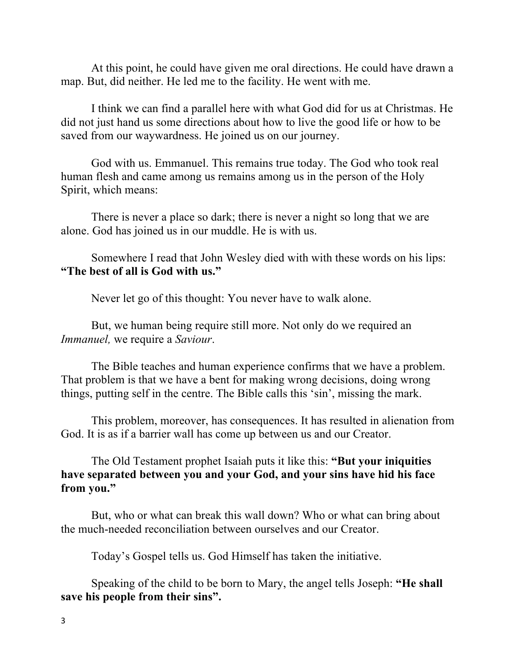At this point, he could have given me oral directions. He could have drawn a map. But, did neither. He led me to the facility. He went with me.

I think we can find a parallel here with what God did for us at Christmas. He did not just hand us some directions about how to live the good life or how to be saved from our waywardness. He joined us on our journey.

God with us. Emmanuel. This remains true today. The God who took real human flesh and came among us remains among us in the person of the Holy Spirit, which means:

There is never a place so dark; there is never a night so long that we are alone. God has joined us in our muddle. He is with us.

Somewhere I read that John Wesley died with with these words on his lips: **"The best of all is God with us."**

Never let go of this thought: You never have to walk alone.

But, we human being require still more. Not only do we required an *Immanuel,* we require a *Saviour*.

The Bible teaches and human experience confirms that we have a problem. That problem is that we have a bent for making wrong decisions, doing wrong things, putting self in the centre. The Bible calls this 'sin', missing the mark.

This problem, moreover, has consequences. It has resulted in alienation from God. It is as if a barrier wall has come up between us and our Creator.

The Old Testament prophet Isaiah puts it like this: **"But your iniquities have separated between you and your God, and your sins have hid his face from you."**

But, who or what can break this wall down? Who or what can bring about the much-needed reconciliation between ourselves and our Creator.

Today's Gospel tells us. God Himself has taken the initiative.

Speaking of the child to be born to Mary, the angel tells Joseph: **"He shall save his people from their sins".**